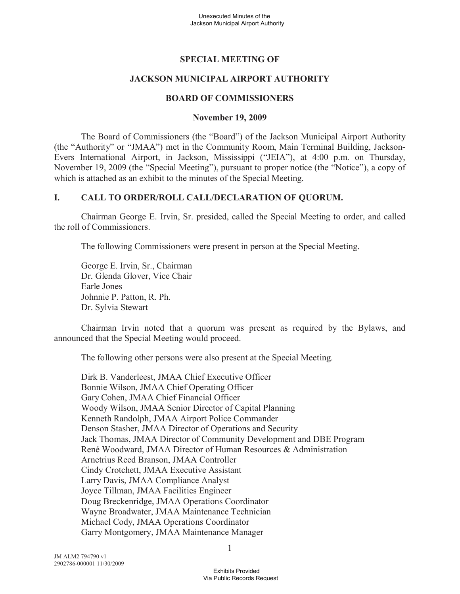# **SPECIAL MEETING OF**

## **JACKSON MUNICIPAL AIRPORT AUTHORITY**

#### **BOARD OF COMMISSIONERS**

#### **November 19, 2009**

The Board of Commissioners (the "Board") of the Jackson Municipal Airport Authority (the "Authority" or "JMAA") met in the Community Room, Main Terminal Building, Jackson-Evers International Airport, in Jackson, Mississippi ("JEIA"), at 4:00 p.m. on Thursday, November 19, 2009 (the "Special Meeting"), pursuant to proper notice (the "Notice"), a copy of which is attached as an exhibit to the minutes of the Special Meeting.

#### **I. CALL TO ORDER/ROLL CALL/DECLARATION OF QUORUM.**

Chairman George E. Irvin, Sr. presided, called the Special Meeting to order, and called the roll of Commissioners.

The following Commissioners were present in person at the Special Meeting.

George E. Irvin, Sr., Chairman Dr. Glenda Glover, Vice Chair Earle Jones Johnnie P. Patton, R. Ph. Dr. Sylvia Stewart

Chairman Irvin noted that a quorum was present as required by the Bylaws, and announced that the Special Meeting would proceed.

The following other persons were also present at the Special Meeting.

Dirk B. Vanderleest, JMAA Chief Executive Officer Bonnie Wilson, JMAA Chief Operating Officer Gary Cohen, JMAA Chief Financial Officer Woody Wilson, JMAA Senior Director of Capital Planning Kenneth Randolph, JMAA Airport Police Commander Denson Stasher, JMAA Director of Operations and Security Jack Thomas, JMAA Director of Community Development and DBE Program René Woodward, JMAA Director of Human Resources & Administration Arnetrius Reed Branson, JMAA Controller Cindy Crotchett, JMAA Executive Assistant Larry Davis, JMAA Compliance Analyst Joyce Tillman, JMAA Facilities Engineer Doug Breckenridge, JMAA Operations Coordinator Wayne Broadwater, JMAA Maintenance Technician Michael Cody, JMAA Operations Coordinator Garry Montgomery, JMAA Maintenance Manager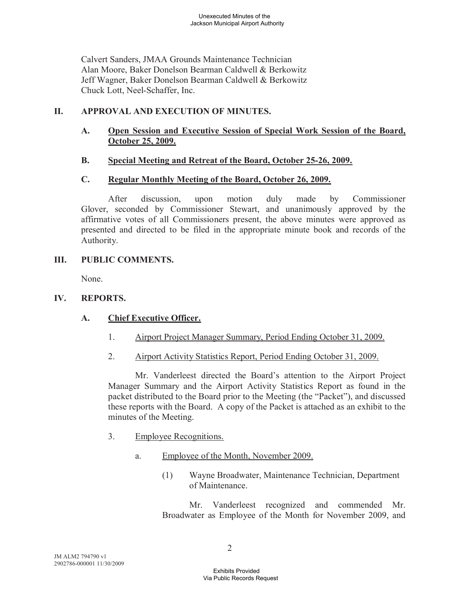Calvert Sanders, JMAA Grounds Maintenance Technician Alan Moore, Baker Donelson Bearman Caldwell & Berkowitz Jeff Wagner, Baker Donelson Bearman Caldwell & Berkowitz Chuck Lott, Neel-Schaffer, Inc.

## **II. APPROVAL AND EXECUTION OF MINUTES.**

**A. Open Session and Executive Session of Special Work Session of the Board, October 25, 2009.** 

## **B. Special Meeting and Retreat of the Board, October 25-26, 2009.**

## **C. Regular Monthly Meeting of the Board, October 26, 2009.**

After discussion, upon motion duly made by Commissioner Glover, seconded by Commissioner Stewart, and unanimously approved by the affirmative votes of all Commissioners present, the above minutes were approved as presented and directed to be filed in the appropriate minute book and records of the Authority.

## **III. PUBLIC COMMENTS.**

None.

## **IV. REPORTS.**

## **A. Chief Executive Officer.**

- 1. Airport Project Manager Summary, Period Ending October 31, 2009.
- 2. Airport Activity Statistics Report, Period Ending October 31, 2009.

Mr. Vanderleest directed the Board's attention to the Airport Project Manager Summary and the Airport Activity Statistics Report as found in the packet distributed to the Board prior to the Meeting (the "Packet"), and discussed these reports with the Board. A copy of the Packet is attached as an exhibit to the minutes of the Meeting.

- 3. Employee Recognitions.
	- a. Employee of the Month, November 2009.
		- (1) Wayne Broadwater, Maintenance Technician, Department of Maintenance.

Mr. Vanderleest recognized and commended Mr. Broadwater as Employee of the Month for November 2009, and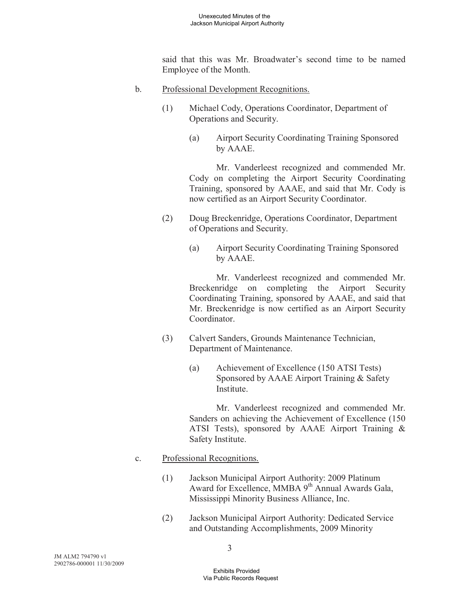said that this was Mr. Broadwater's second time to be named Employee of the Month.

- b. Professional Development Recognitions.
	- (1) Michael Cody, Operations Coordinator, Department of Operations and Security.
		- (a) Airport Security Coordinating Training Sponsored by AAAE.

Mr. Vanderleest recognized and commended Mr. Cody on completing the Airport Security Coordinating Training, sponsored by AAAE, and said that Mr. Cody is now certified as an Airport Security Coordinator.

- (2) Doug Breckenridge, Operations Coordinator, Department of Operations and Security.
	- (a) Airport Security Coordinating Training Sponsored by AAAE.

Mr. Vanderleest recognized and commended Mr. Breckenridge on completing the Airport Security Coordinating Training, sponsored by AAAE, and said that Mr. Breckenridge is now certified as an Airport Security Coordinator.

- (3) Calvert Sanders, Grounds Maintenance Technician, Department of Maintenance.
	- (a) Achievement of Excellence (150 ATSI Tests) Sponsored by AAAE Airport Training & Safety Institute.

Mr. Vanderleest recognized and commended Mr. Sanders on achieving the Achievement of Excellence (150 ATSI Tests), sponsored by AAAE Airport Training & Safety Institute.

- c. Professional Recognitions.
	- (1) Jackson Municipal Airport Authority: 2009 Platinum Award for Excellence, MMBA  $9<sup>th</sup>$  Annual Awards Gala, Mississippi Minority Business Alliance, Inc.
	- (2) Jackson Municipal Airport Authority: Dedicated Service and Outstanding Accomplishments, 2009 Minority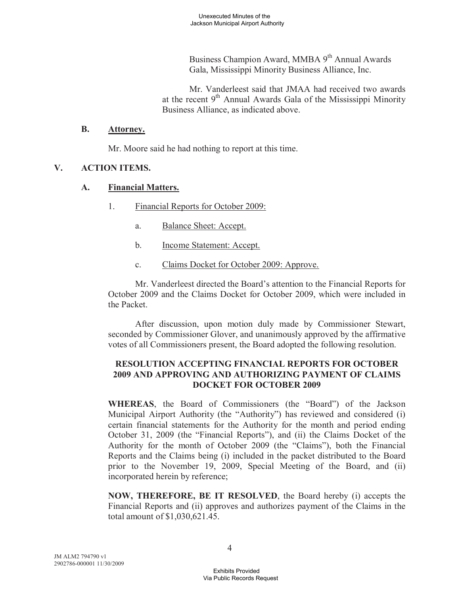Business Champion Award, MMBA 9<sup>th</sup> Annual Awards Gala, Mississippi Minority Business Alliance, Inc.

Mr. Vanderleest said that JMAA had received two awards at the recent 9<sup>th</sup> Annual Awards Gala of the Mississippi Minority Business Alliance, as indicated above.

#### **B. Attorney.**

Mr. Moore said he had nothing to report at this time.

## **V. ACTION ITEMS.**

## **A. Financial Matters.**

- 1. Financial Reports for October 2009:
	- a. Balance Sheet: Accept.
	- b. Income Statement: Accept.
	- c. Claims Docket for October 2009: Approve.

Mr. Vanderleest directed the Board's attention to the Financial Reports for October 2009 and the Claims Docket for October 2009, which were included in the Packet.

After discussion, upon motion duly made by Commissioner Stewart, seconded by Commissioner Glover, and unanimously approved by the affirmative votes of all Commissioners present, the Board adopted the following resolution.

## **RESOLUTION ACCEPTING FINANCIAL REPORTS FOR OCTOBER 2009 AND APPROVING AND AUTHORIZING PAYMENT OF CLAIMS DOCKET FOR OCTOBER 2009**

**WHEREAS**, the Board of Commissioners (the "Board") of the Jackson Municipal Airport Authority (the "Authority") has reviewed and considered (i) certain financial statements for the Authority for the month and period ending October 31, 2009 (the "Financial Reports"), and (ii) the Claims Docket of the Authority for the month of October 2009 (the "Claims"), both the Financial Reports and the Claims being (i) included in the packet distributed to the Board prior to the November 19, 2009, Special Meeting of the Board, and (ii) incorporated herein by reference;

**NOW, THEREFORE, BE IT RESOLVED**, the Board hereby (i) accepts the Financial Reports and (ii) approves and authorizes payment of the Claims in the total amount of \$1,030,621.45.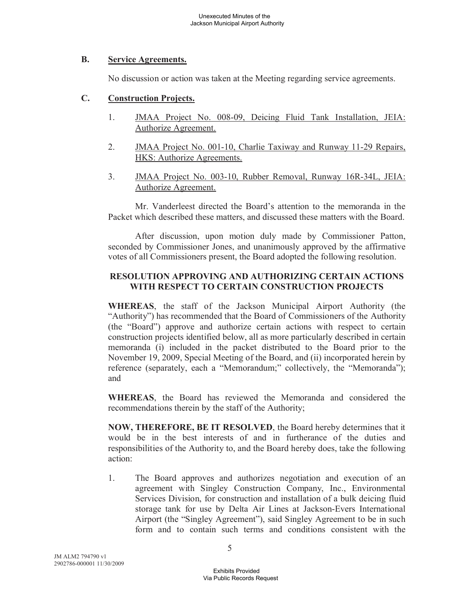## **B. Service Agreements.**

No discussion or action was taken at the Meeting regarding service agreements.

## **C. Construction Projects.**

- 1. JMAA Project No. 008-09, Deicing Fluid Tank Installation, JEIA: Authorize Agreement.
- 2. JMAA Project No. 001-10, Charlie Taxiway and Runway 11-29 Repairs, HKS: Authorize Agreements.
- 3. JMAA Project No. 003-10, Rubber Removal, Runway 16R-34L, JEIA: Authorize Agreement.

Mr. Vanderleest directed the Board's attention to the memoranda in the Packet which described these matters, and discussed these matters with the Board.

After discussion, upon motion duly made by Commissioner Patton, seconded by Commissioner Jones, and unanimously approved by the affirmative votes of all Commissioners present, the Board adopted the following resolution.

## **RESOLUTION APPROVING AND AUTHORIZING CERTAIN ACTIONS WITH RESPECT TO CERTAIN CONSTRUCTION PROJECTS**

**WHEREAS**, the staff of the Jackson Municipal Airport Authority (the "Authority") has recommended that the Board of Commissioners of the Authority (the "Board") approve and authorize certain actions with respect to certain construction projects identified below, all as more particularly described in certain memoranda (i) included in the packet distributed to the Board prior to the November 19, 2009, Special Meeting of the Board, and (ii) incorporated herein by reference (separately, each a "Memorandum;" collectively, the "Memoranda"); and

**WHEREAS**, the Board has reviewed the Memoranda and considered the recommendations therein by the staff of the Authority;

**NOW, THEREFORE, BE IT RESOLVED**, the Board hereby determines that it would be in the best interests of and in furtherance of the duties and responsibilities of the Authority to, and the Board hereby does, take the following action:

1. The Board approves and authorizes negotiation and execution of an agreement with Singley Construction Company, Inc., Environmental Services Division, for construction and installation of a bulk deicing fluid storage tank for use by Delta Air Lines at Jackson-Evers International Airport (the "Singley Agreement"), said Singley Agreement to be in such form and to contain such terms and conditions consistent with the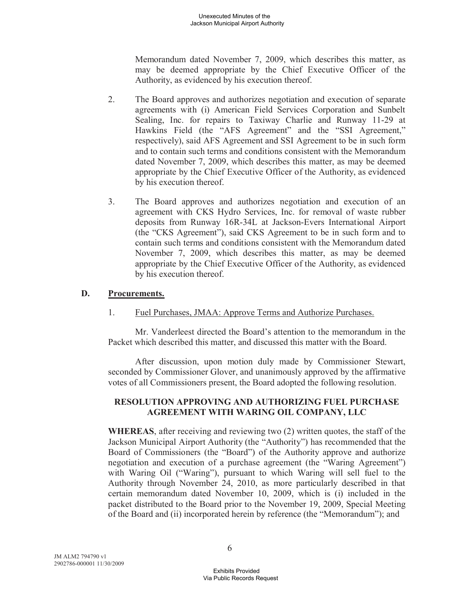Memorandum dated November 7, 2009, which describes this matter, as may be deemed appropriate by the Chief Executive Officer of the Authority, as evidenced by his execution thereof.

- 2. The Board approves and authorizes negotiation and execution of separate agreements with (i) American Field Services Corporation and Sunbelt Sealing, Inc. for repairs to Taxiway Charlie and Runway 11-29 at Hawkins Field (the "AFS Agreement" and the "SSI Agreement," respectively), said AFS Agreement and SSI Agreement to be in such form and to contain such terms and conditions consistent with the Memorandum dated November 7, 2009, which describes this matter, as may be deemed appropriate by the Chief Executive Officer of the Authority, as evidenced by his execution thereof.
- 3. The Board approves and authorizes negotiation and execution of an agreement with CKS Hydro Services, Inc. for removal of waste rubber deposits from Runway 16R-34L at Jackson-Evers International Airport (the "CKS Agreement"), said CKS Agreement to be in such form and to contain such terms and conditions consistent with the Memorandum dated November 7, 2009, which describes this matter, as may be deemed appropriate by the Chief Executive Officer of the Authority, as evidenced by his execution thereof.

#### **D. Procurements.**

1. Fuel Purchases, JMAA: Approve Terms and Authorize Purchases.

Mr. Vanderleest directed the Board's attention to the memorandum in the Packet which described this matter, and discussed this matter with the Board.

After discussion, upon motion duly made by Commissioner Stewart, seconded by Commissioner Glover, and unanimously approved by the affirmative votes of all Commissioners present, the Board adopted the following resolution.

## **RESOLUTION APPROVING AND AUTHORIZING FUEL PURCHASE AGREEMENT WITH WARING OIL COMPANY, LLC**

**WHEREAS**, after receiving and reviewing two (2) written quotes, the staff of the Jackson Municipal Airport Authority (the "Authority") has recommended that the Board of Commissioners (the "Board") of the Authority approve and authorize negotiation and execution of a purchase agreement (the "Waring Agreement") with Waring Oil ("Waring"), pursuant to which Waring will sell fuel to the Authority through November 24, 2010, as more particularly described in that certain memorandum dated November 10, 2009, which is (i) included in the packet distributed to the Board prior to the November 19, 2009, Special Meeting of the Board and (ii) incorporated herein by reference (the "Memorandum"); and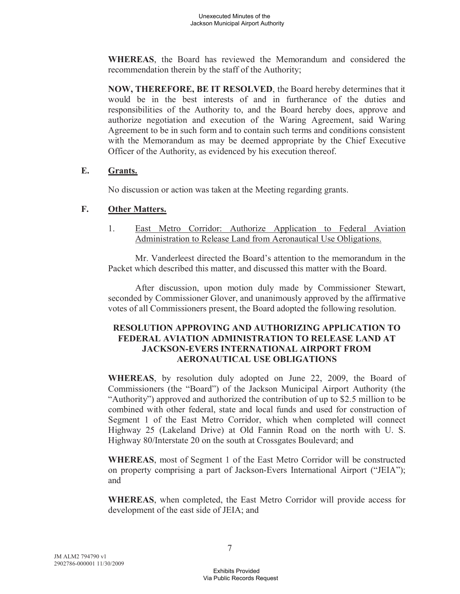**WHEREAS**, the Board has reviewed the Memorandum and considered the recommendation therein by the staff of the Authority;

**NOW, THEREFORE, BE IT RESOLVED**, the Board hereby determines that it would be in the best interests of and in furtherance of the duties and responsibilities of the Authority to, and the Board hereby does, approve and authorize negotiation and execution of the Waring Agreement, said Waring Agreement to be in such form and to contain such terms and conditions consistent with the Memorandum as may be deemed appropriate by the Chief Executive Officer of the Authority, as evidenced by his execution thereof.

## **E. Grants.**

No discussion or action was taken at the Meeting regarding grants.

## **F. Other Matters.**

1. East Metro Corridor: Authorize Application to Federal Aviation Administration to Release Land from Aeronautical Use Obligations.

Mr. Vanderleest directed the Board's attention to the memorandum in the Packet which described this matter, and discussed this matter with the Board.

After discussion, upon motion duly made by Commissioner Stewart, seconded by Commissioner Glover, and unanimously approved by the affirmative votes of all Commissioners present, the Board adopted the following resolution.

# **RESOLUTION APPROVING AND AUTHORIZING APPLICATION TO FEDERAL AVIATION ADMINISTRATION TO RELEASE LAND AT JACKSON-EVERS INTERNATIONAL AIRPORT FROM AERONAUTICAL USE OBLIGATIONS**

**WHEREAS**, by resolution duly adopted on June 22, 2009, the Board of Commissioners (the "Board") of the Jackson Municipal Airport Authority (the "Authority") approved and authorized the contribution of up to \$2.5 million to be combined with other federal, state and local funds and used for construction of Segment 1 of the East Metro Corridor, which when completed will connect Highway 25 (Lakeland Drive) at Old Fannin Road on the north with U. S. Highway 80/Interstate 20 on the south at Crossgates Boulevard; and

**WHEREAS**, most of Segment 1 of the East Metro Corridor will be constructed on property comprising a part of Jackson-Evers International Airport ("JEIA"); and

**WHEREAS**, when completed, the East Metro Corridor will provide access for development of the east side of JEIA; and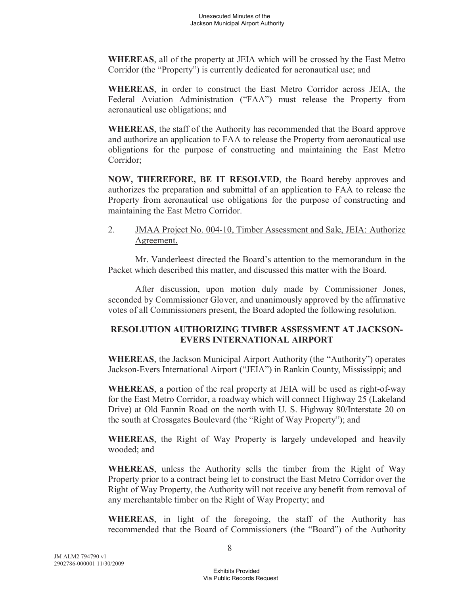**WHEREAS**, all of the property at JEIA which will be crossed by the East Metro Corridor (the "Property") is currently dedicated for aeronautical use; and

**WHEREAS**, in order to construct the East Metro Corridor across JEIA, the Federal Aviation Administration ("FAA") must release the Property from aeronautical use obligations; and

**WHEREAS**, the staff of the Authority has recommended that the Board approve and authorize an application to FAA to release the Property from aeronautical use obligations for the purpose of constructing and maintaining the East Metro Corridor;

**NOW, THEREFORE, BE IT RESOLVED**, the Board hereby approves and authorizes the preparation and submittal of an application to FAA to release the Property from aeronautical use obligations for the purpose of constructing and maintaining the East Metro Corridor.

2. JMAA Project No. 004-10, Timber Assessment and Sale, JEIA: Authorize Agreement.

Mr. Vanderleest directed the Board's attention to the memorandum in the Packet which described this matter, and discussed this matter with the Board.

After discussion, upon motion duly made by Commissioner Jones, seconded by Commissioner Glover, and unanimously approved by the affirmative votes of all Commissioners present, the Board adopted the following resolution.

## **RESOLUTION AUTHORIZING TIMBER ASSESSMENT AT JACKSON-EVERS INTERNATIONAL AIRPORT**

**WHEREAS**, the Jackson Municipal Airport Authority (the "Authority") operates Jackson-Evers International Airport ("JEIA") in Rankin County, Mississippi; and

**WHEREAS**, a portion of the real property at JEIA will be used as right-of-way for the East Metro Corridor, a roadway which will connect Highway 25 (Lakeland Drive) at Old Fannin Road on the north with U. S. Highway 80/Interstate 20 on the south at Crossgates Boulevard (the "Right of Way Property"); and

**WHEREAS**, the Right of Way Property is largely undeveloped and heavily wooded; and

**WHEREAS**, unless the Authority sells the timber from the Right of Way Property prior to a contract being let to construct the East Metro Corridor over the Right of Way Property, the Authority will not receive any benefit from removal of any merchantable timber on the Right of Way Property; and

**WHEREAS**, in light of the foregoing, the staff of the Authority has recommended that the Board of Commissioners (the "Board") of the Authority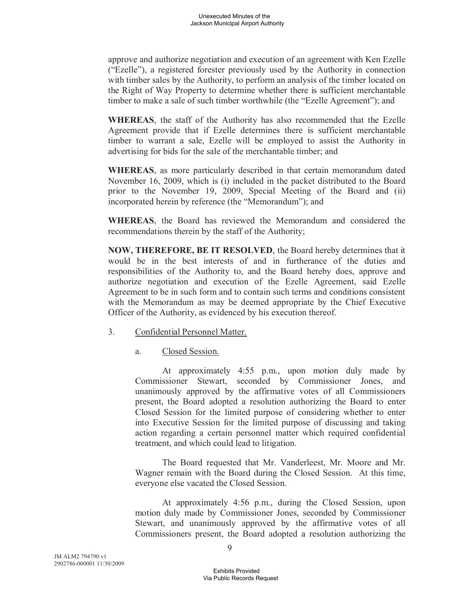approve and authorize negotiation and execution of an agreement with Ken Ezelle ("Ezelle"), a registered forester previously used by the Authority in connection with timber sales by the Authority, to perform an analysis of the timber located on the Right of Way Property to determine whether there is sufficient merchantable timber to make a sale of such timber worthwhile (the "Ezelle Agreement"); and

**WHEREAS**, the staff of the Authority has also recommended that the Ezelle Agreement provide that if Ezelle determines there is sufficient merchantable timber to warrant a sale, Ezelle will be employed to assist the Authority in advertising for bids for the sale of the merchantable timber; and

**WHEREAS**, as more particularly described in that certain memorandum dated November 16, 2009, which is (i) included in the packet distributed to the Board prior to the November 19, 2009, Special Meeting of the Board and (ii) incorporated herein by reference (the "Memorandum"); and

**WHEREAS**, the Board has reviewed the Memorandum and considered the recommendations therein by the staff of the Authority;

**NOW, THEREFORE, BE IT RESOLVED**, the Board hereby determines that it would be in the best interests of and in furtherance of the duties and responsibilities of the Authority to, and the Board hereby does, approve and authorize negotiation and execution of the Ezelle Agreement, said Ezelle Agreement to be in such form and to contain such terms and conditions consistent with the Memorandum as may be deemed appropriate by the Chief Executive Officer of the Authority, as evidenced by his execution thereof.

#### 3. Confidential Personnel Matter.

a. Closed Session.

At approximately 4:55 p.m., upon motion duly made by Commissioner Stewart, seconded by Commissioner Jones, and unanimously approved by the affirmative votes of all Commissioners present, the Board adopted a resolution authorizing the Board to enter Closed Session for the limited purpose of considering whether to enter into Executive Session for the limited purpose of discussing and taking action regarding a certain personnel matter which required confidential treatment, and which could lead to litigation.

The Board requested that Mr. Vanderleest, Mr. Moore and Mr. Wagner remain with the Board during the Closed Session. At this time, everyone else vacated the Closed Session.

At approximately 4:56 p.m., during the Closed Session, upon motion duly made by Commissioner Jones, seconded by Commissioner Stewart, and unanimously approved by the affirmative votes of all Commissioners present, the Board adopted a resolution authorizing the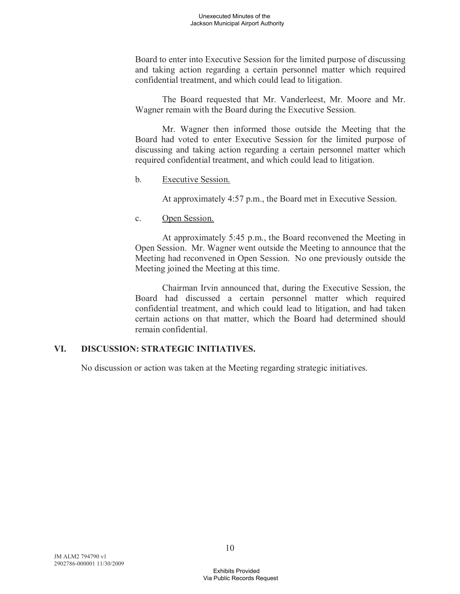Board to enter into Executive Session for the limited purpose of discussing and taking action regarding a certain personnel matter which required confidential treatment, and which could lead to litigation.

The Board requested that Mr. Vanderleest, Mr. Moore and Mr. Wagner remain with the Board during the Executive Session.

Mr. Wagner then informed those outside the Meeting that the Board had voted to enter Executive Session for the limited purpose of discussing and taking action regarding a certain personnel matter which required confidential treatment, and which could lead to litigation.

#### b. Executive Session.

At approximately 4:57 p.m., the Board met in Executive Session.

c. Open Session.

At approximately 5:45 p.m., the Board reconvened the Meeting in Open Session. Mr. Wagner went outside the Meeting to announce that the Meeting had reconvened in Open Session. No one previously outside the Meeting joined the Meeting at this time.

Chairman Irvin announced that, during the Executive Session, the Board had discussed a certain personnel matter which required confidential treatment, and which could lead to litigation, and had taken certain actions on that matter, which the Board had determined should remain confidential.

## **VI. DISCUSSION: STRATEGIC INITIATIVES.**

No discussion or action was taken at the Meeting regarding strategic initiatives.